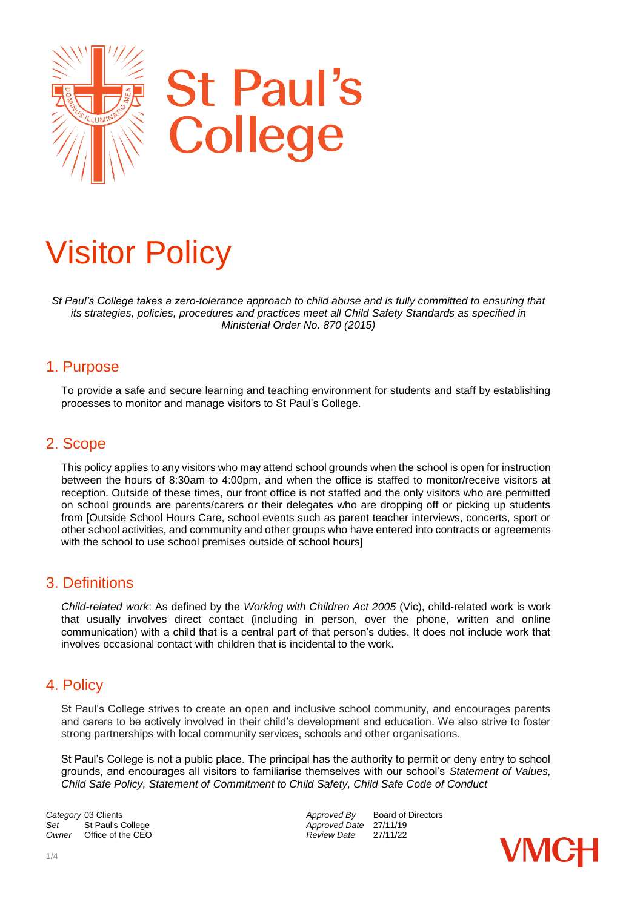

# Visitor Policy

*St Paul's College takes a zero-tolerance approach to child abuse and is fully committed to ensuring that its strategies, policies, procedures and practices meet all Child Safety Standards as specified in Ministerial Order No. 870 (2015)*

#### 1. Purpose

To provide a safe and secure learning and teaching environment for students and staff by establishing processes to monitor and manage visitors to St Paul's College.

#### 2. Scope

This policy applies to any visitors who may attend school grounds when the school is open for instruction between the hours of 8:30am to 4:00pm, and when the office is staffed to monitor/receive visitors at reception. Outside of these times, our front office is not staffed and the only visitors who are permitted on school grounds are parents/carers or their delegates who are dropping off or picking up students from [Outside School Hours Care, school events such as parent teacher interviews, concerts, sport or other school activities, and community and other groups who have entered into contracts or agreements with the school to use school premises outside of school hours]

#### 3. Definitions

*Child-related work*: As defined by the *Working with Children Act 2005* (Vic), child-related work is work that usually involves direct contact (including in person, over the phone, written and online communication) with a child that is a central part of that person's duties. It does not include work that involves occasional contact with children that is incidental to the work.

#### 4. Policy

St Paul's College strives to create an open and inclusive school community, and encourages parents and carers to be actively involved in their child's development and education. We also strive to foster strong partnerships with local community services, schools and other organisations.

St Paul's College is not a public place. The principal has the authority to permit or deny entry to school grounds, and encourages all visitors to familiarise themselves with our school's *Statement of Values, Child Safe Policy, Statement of Commitment to Child Safety, Child Safe Code of Conduct*

Set St Paul's College *Set* Approved Date 27/11/19<br>
Owner Office of the CEO **Approved Date** 27/11/22 *Office of the CEO* 

**Category** 03 Clients<br>
Set St Paul's College **Approved By** Board of Directors<br>
Approved Date 27/11/19

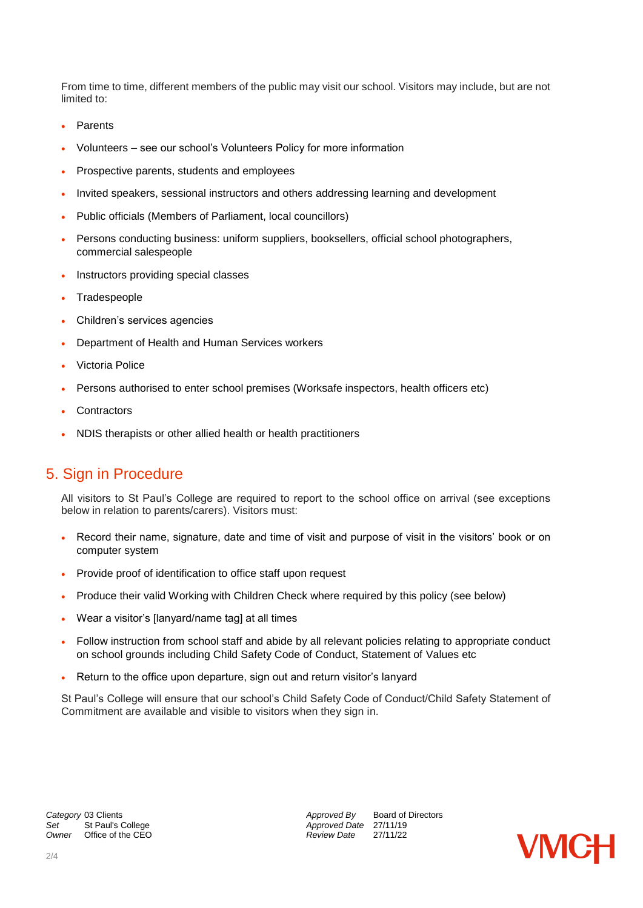From time to time, different members of the public may visit our school. Visitors may include, but are not limited to:

- Parents
- Volunteers see our school's Volunteers Policy for more information
- Prospective parents, students and employees
- Invited speakers, sessional instructors and others addressing learning and development
- Public officials (Members of Parliament, local councillors)
- Persons conducting business: uniform suppliers, booksellers, official school photographers, commercial salespeople
- Instructors providing special classes
- Tradespeople
- Children's services agencies
- Department of Health and Human Services workers
- Victoria Police
- Persons authorised to enter school premises (Worksafe inspectors, health officers etc)
- **Contractors**
- NDIS therapists or other allied health or health practitioners

# 5. Sign in Procedure

All visitors to St Paul's College are required to report to the school office on arrival (see exceptions below in relation to parents/carers). Visitors must:

- Record their name, signature, date and time of visit and purpose of visit in the visitors' book or on computer system
- Provide proof of identification to office staff upon request
- Produce their valid Working with Children Check where required by this policy (see below)
- Wear a visitor's [lanyard/name tag] at all times
- Follow instruction from school staff and abide by all relevant policies relating to appropriate conduct on school grounds including Child Safety Code of Conduct, Statement of Values etc
- Return to the office upon departure, sign out and return visitor's lanyard

St Paul's College will ensure that our school's Child Safety Code of Conduct/Child Safety Statement of Commitment are available and visible to visitors when they sign in.

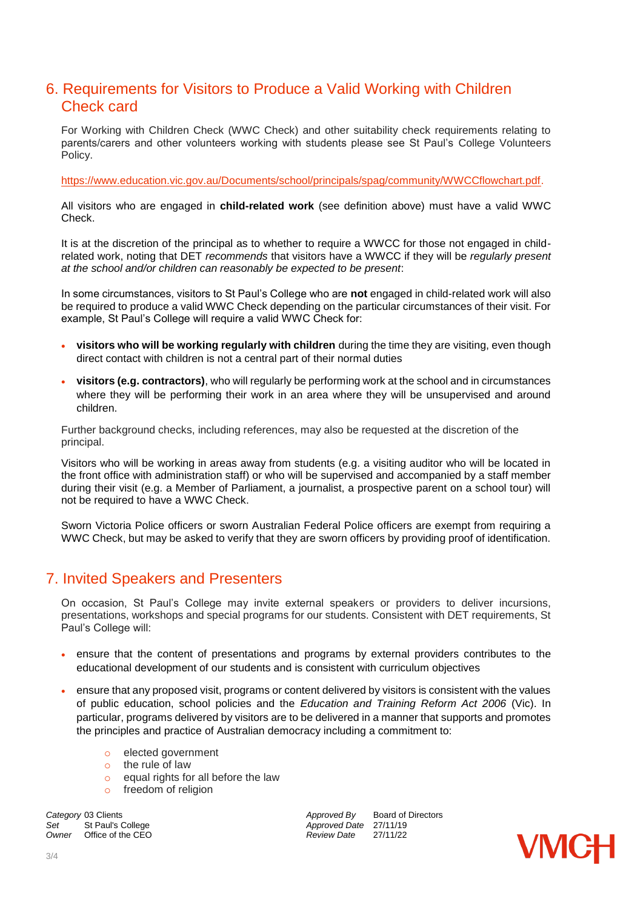# 6. Requirements for Visitors to Produce a Valid Working with Children Check card

For Working with Children Check (WWC Check) and other suitability check requirements relating to parents/carers and other volunteers working with students please see St Paul's College Volunteers Policy.

[https://www.education.vic.gov.au/Documents/school/principals/spag/community/WWCCflowchart.pdf.](https://www.education.vic.gov.au/Documents/school/principals/spag/community/WWCCflowchart.pdf)

All visitors who are engaged in **child-related work** (see definition above) must have a valid WWC Check.

It is at the discretion of the principal as to whether to require a WWCC for those not engaged in childrelated work, noting that DET *recommends* that visitors have a WWCC if they will be *regularly present at the school and/or children can reasonably be expected to be present*:

In some circumstances, visitors to St Paul's College who are **not** engaged in child-related work will also be required to produce a valid WWC Check depending on the particular circumstances of their visit. For example, St Paul's College will require a valid WWC Check for:

- **visitors who will be working regularly with children** during the time they are visiting, even though direct contact with children is not a central part of their normal duties
- **visitors (e.g. contractors)**, who will regularly be performing work at the school and in circumstances where they will be performing their work in an area where they will be unsupervised and around children.

Further background checks, including references, may also be requested at the discretion of the principal.

Visitors who will be working in areas away from students (e.g. a visiting auditor who will be located in the front office with administration staff) or who will be supervised and accompanied by a staff member during their visit (e.g. a Member of Parliament, a journalist, a prospective parent on a school tour) will not be required to have a WWC Check.

Sworn Victoria Police officers or sworn Australian Federal Police officers are exempt from requiring a WWC Check, but may be asked to verify that they are sworn officers by providing proof of identification.

# 7. Invited Speakers and Presenters

On occasion, St Paul's College may invite external speakers or providers to deliver incursions, presentations, workshops and special programs for our students. Consistent with DET requirements, St Paul's College will:

- ensure that the content of presentations and programs by external providers contributes to the educational development of our students and is consistent with curriculum objectives
- ensure that any proposed visit, programs or content delivered by visitors is consistent with the values of public education, school policies and the *Education and Training Reform Act 2006* (Vic). In particular, programs delivered by visitors are to be delivered in a manner that supports and promotes the principles and practice of Australian democracy including a commitment to:
	- o elected government
	- o the rule of law
	- o equal rights for all before the law
	- o freedom of religion

**Category** 03 Clients<br>
Set St Paul's College **Approved By** Board of Directors<br>
Approved Date 27/11/19 *Set* St Paul's College *Approved Date* 27/11/19 *Owner* Office of the CEO